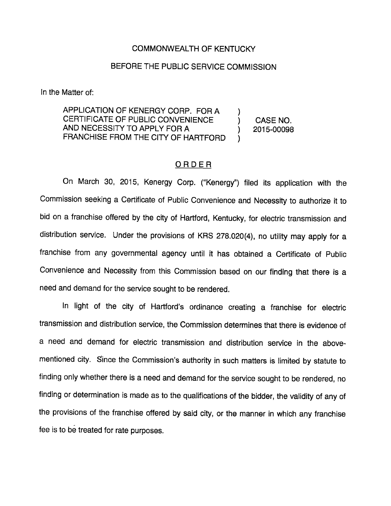## COMMONWEALTH OF KENTUCKY

## BEFORE THE PUBLIC SERVICE COMMISSION

In the Matter of:

APPLICATION OF KENERGY CORP. FOR A CERTIFICATE OF PUBLIC CONVENIENCE ) CASE NO. AND NECESSITY TO APPLY FOR A  $(2015-00098)$ FRANCHISE FROM THE CITY OF HARTFORD )

## ORDER

On March 30, 2015, Kenergy Corp. ("Kenergy") filed its application with the Commission seeking a Certificate of Public Convenience and Necessity to authorize it to bid on a franchise offered by the city of Hartford, Kentucky, for electric transmission and distribution service. Under the provisions of KRS 278.020(4), no utility may apply for a franchise from any governmental agency until it has obtained a Certificate of Public Convenience and Necessity from this Commission based on our finding that there is a need and demand for the service sought to be rendered.

In light of the city of Hartford's ordinance creating a franchise for electric transmission and distribution service, the Commission determines that there is evidence of a need and demand for electric transmission and distribution service in the abovementioned city. Since the Commission's authority in such matters is limited by statute to finding only whether there is a need and demand for the service sought to be rendered, no finding or determination is made as to the qualifications of the bidder, the validity of any of the provisions of the franchise offered by said city, or the manner in which any franchise fee is to be treated for rate purposes.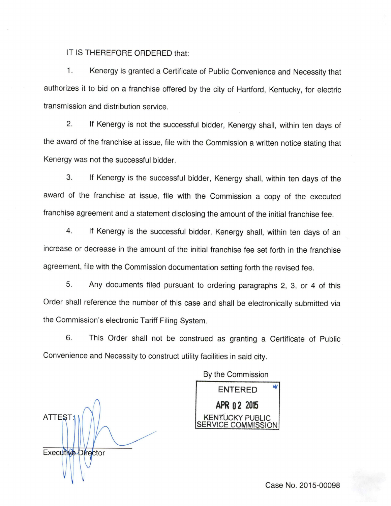IT IS THEREFORE ORDERED that:

1. Kenergy is granted a Certificate of Public Convenience and Necessity that authorizes it to bid on a franchise offered by the city of Hartford, Kentucky, for electric transmission and distribution service.

2. If Kenergy is not the successful bidder, Kenergy shall, within ten days of the award of the franchise at issue, file with the Commission a written notice stating that Kenergy was not the successful bidder.

3. If Kenergy is the successful bidder, Kenergy shall, within ten days of the award of the franchise at issue, file with the Commission a copy of the executed franchise agreement and a statement disclosing the amount of the initial franchise fee.

4. If Kenergy is the successful bidder, Kenergy shall, within ten days of an increase or decrease in the amount of the initial franchise fee set forth in the franchise agreement, file with the Commission documentation setting forth the revised fee.

5. Any documents filed pursuant to ordering paragraphs 2, 3, or 4 of this Order shall reference the number of this case and shall be electronically submitted via the Commission's electronic Tariff Filing System.

6. This Order shall not be construed as granting a Certificate of Public Convenience and Necessity to construct utility facilities in said city.

By the Commission

ATTEST: Executive Director

ENTERED APR 02 2015 KENTUCKY PUBLIC /ICE COMMISSION

Case No. 2015-00098